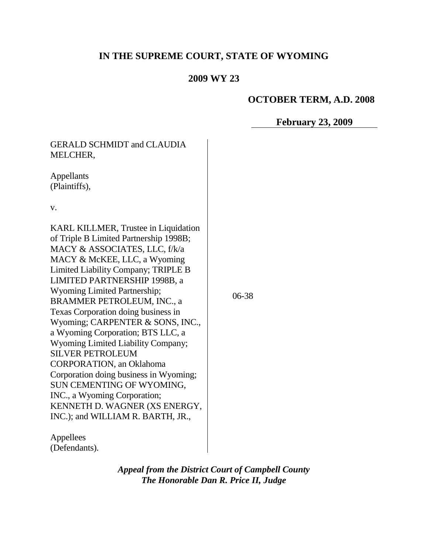# **IN THE SUPREME COURT, STATE OF WYOMING**

# **2009 WY 23**

## **OCTOBER TERM, A.D. 2008**

## **February 23, 2009**

| <b>GERALD SCHMIDT and CLAUDIA</b><br>MELCHER,                                                                                                                                                                                                                                                                                                                                                                                                                                                                                                                                                                                                                                          |           |
|----------------------------------------------------------------------------------------------------------------------------------------------------------------------------------------------------------------------------------------------------------------------------------------------------------------------------------------------------------------------------------------------------------------------------------------------------------------------------------------------------------------------------------------------------------------------------------------------------------------------------------------------------------------------------------------|-----------|
| Appellants<br>(Plaintiffs),                                                                                                                                                                                                                                                                                                                                                                                                                                                                                                                                                                                                                                                            |           |
| V.                                                                                                                                                                                                                                                                                                                                                                                                                                                                                                                                                                                                                                                                                     |           |
| KARL KILLMER, Trustee in Liquidation<br>of Triple B Limited Partnership 1998B;<br>MACY & ASSOCIATES, LLC, f/k/a<br>MACY & McKEE, LLC, a Wyoming<br>Limited Liability Company; TRIPLE B<br>LIMITED PARTNERSHIP 1998B, a<br>Wyoming Limited Partnership;<br>BRAMMER PETROLEUM, INC., a<br>Texas Corporation doing business in<br>Wyoming; CARPENTER & SONS, INC.,<br>a Wyoming Corporation; BTS LLC, a<br>Wyoming Limited Liability Company;<br><b>SILVER PETROLEUM</b><br><b>CORPORATION</b> , an Oklahoma<br>Corporation doing business in Wyoming;<br>SUN CEMENTING OF WYOMING,<br>INC., a Wyoming Corporation;<br>KENNETH D. WAGNER (XS ENERGY,<br>INC.); and WILLIAM R. BARTH, JR., | $06 - 38$ |
|                                                                                                                                                                                                                                                                                                                                                                                                                                                                                                                                                                                                                                                                                        |           |

Appellees (Defendants).

> *Appeal from the District Court of Campbell County The Honorable Dan R. Price II, Judge*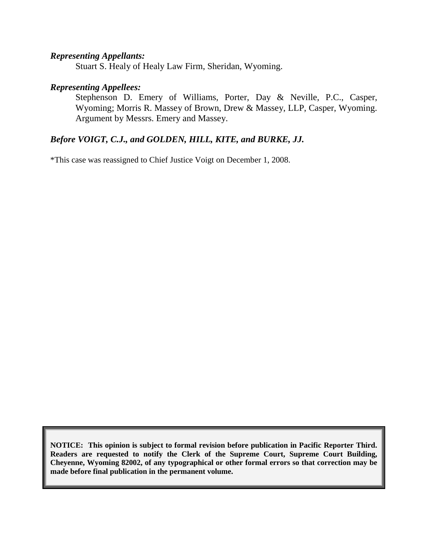#### *Representing Appellants:*

Stuart S. Healy of Healy Law Firm, Sheridan, Wyoming.

#### *Representing Appellees:*

Stephenson D. Emery of Williams, Porter, Day & Neville, P.C., Casper, Wyoming; Morris R. Massey of Brown, Drew & Massey, LLP, Casper, Wyoming. Argument by Messrs. Emery and Massey.

## *Before VOIGT, C.J., and GOLDEN, HILL, KITE, and BURKE, JJ.*

\*This case was reassigned to Chief Justice Voigt on December 1, 2008.

**NOTICE: This opinion is subject to formal revision before publication in Pacific Reporter Third. Readers are requested to notify the Clerk of the Supreme Court, Supreme Court Building, Cheyenne, Wyoming 82002, of any typographical or other formal errors so that correction may be made before final publication in the permanent volume.**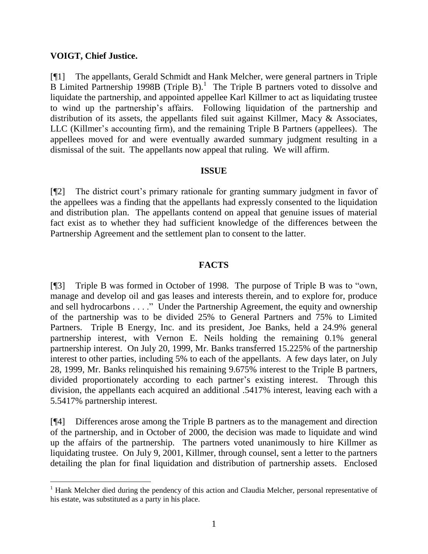### **VOIGT, Chief Justice.**

[¶1] The appellants, Gerald Schmidt and Hank Melcher, were general partners in Triple  $\overline{B}$  Limited Partnership 1998B (Triple B).<sup>1</sup> The Triple B partners voted to dissolve and liquidate the partnership, and appointed appellee Karl Killmer to act as liquidating trustee to wind up the partnership"s affairs. Following liquidation of the partnership and distribution of its assets, the appellants filed suit against Killmer, Macy & Associates, LLC (Killmer"s accounting firm), and the remaining Triple B Partners (appellees). The appellees moved for and were eventually awarded summary judgment resulting in a dismissal of the suit. The appellants now appeal that ruling. We will affirm.

#### **ISSUE**

[¶2] The district court"s primary rationale for granting summary judgment in favor of the appellees was a finding that the appellants had expressly consented to the liquidation and distribution plan. The appellants contend on appeal that genuine issues of material fact exist as to whether they had sufficient knowledge of the differences between the Partnership Agreement and the settlement plan to consent to the latter.

## **FACTS**

[¶3] Triple B was formed in October of 1998. The purpose of Triple B was to "own, manage and develop oil and gas leases and interests therein, and to explore for, produce and sell hydrocarbons . . . ." Under the Partnership Agreement, the equity and ownership of the partnership was to be divided 25% to General Partners and 75% to Limited Partners. Triple B Energy, Inc. and its president, Joe Banks, held a 24.9% general partnership interest, with Vernon E. Neils holding the remaining 0.1% general partnership interest. On July 20, 1999, Mr. Banks transferred 15.225% of the partnership interest to other parties, including 5% to each of the appellants. A few days later, on July 28, 1999, Mr. Banks relinquished his remaining 9.675% interest to the Triple B partners, divided proportionately according to each partner"s existing interest. Through this division, the appellants each acquired an additional .5417% interest, leaving each with a 5.5417% partnership interest.

[¶4] Differences arose among the Triple B partners as to the management and direction of the partnership, and in October of 2000, the decision was made to liquidate and wind up the affairs of the partnership. The partners voted unanimously to hire Killmer as liquidating trustee. On July 9, 2001, Killmer, through counsel, sent a letter to the partners detailing the plan for final liquidation and distribution of partnership assets. Enclosed

<sup>&</sup>lt;sup>1</sup> Hank Melcher died during the pendency of this action and Claudia Melcher, personal representative of his estate, was substituted as a party in his place.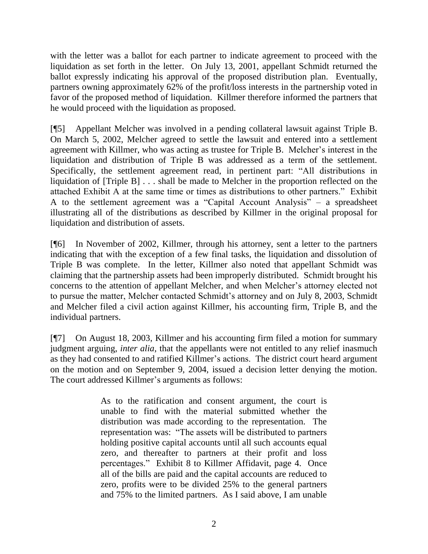with the letter was a ballot for each partner to indicate agreement to proceed with the liquidation as set forth in the letter. On July 13, 2001, appellant Schmidt returned the ballot expressly indicating his approval of the proposed distribution plan. Eventually, partners owning approximately 62% of the profit/loss interests in the partnership voted in favor of the proposed method of liquidation. Killmer therefore informed the partners that he would proceed with the liquidation as proposed.

[¶5] Appellant Melcher was involved in a pending collateral lawsuit against Triple B. On March 5, 2002, Melcher agreed to settle the lawsuit and entered into a settlement agreement with Killmer, who was acting as trustee for Triple B. Melcher"s interest in the liquidation and distribution of Triple B was addressed as a term of the settlement. Specifically, the settlement agreement read, in pertinent part: "All distributions in liquidation of [Triple B] . . . shall be made to Melcher in the proportion reflected on the attached Exhibit A at the same time or times as distributions to other partners." Exhibit A to the settlement agreement was a "Capital Account Analysis" – a spreadsheet illustrating all of the distributions as described by Killmer in the original proposal for liquidation and distribution of assets.

[¶6] In November of 2002, Killmer, through his attorney, sent a letter to the partners indicating that with the exception of a few final tasks, the liquidation and dissolution of Triple B was complete. In the letter, Killmer also noted that appellant Schmidt was claiming that the partnership assets had been improperly distributed. Schmidt brought his concerns to the attention of appellant Melcher, and when Melcher"s attorney elected not to pursue the matter, Melcher contacted Schmidt"s attorney and on July 8, 2003, Schmidt and Melcher filed a civil action against Killmer, his accounting firm, Triple B, and the individual partners.

[¶7] On August 18, 2003, Killmer and his accounting firm filed a motion for summary judgment arguing, *inter alia*, that the appellants were not entitled to any relief inasmuch as they had consented to and ratified Killmer"s actions. The district court heard argument on the motion and on September 9, 2004, issued a decision letter denying the motion. The court addressed Killmer's arguments as follows:

> As to the ratification and consent argument, the court is unable to find with the material submitted whether the distribution was made according to the representation. The representation was: "The assets will be distributed to partners holding positive capital accounts until all such accounts equal zero, and thereafter to partners at their profit and loss percentages." Exhibit 8 to Killmer Affidavit, page 4. Once all of the bills are paid and the capital accounts are reduced to zero, profits were to be divided 25% to the general partners and 75% to the limited partners. As I said above, I am unable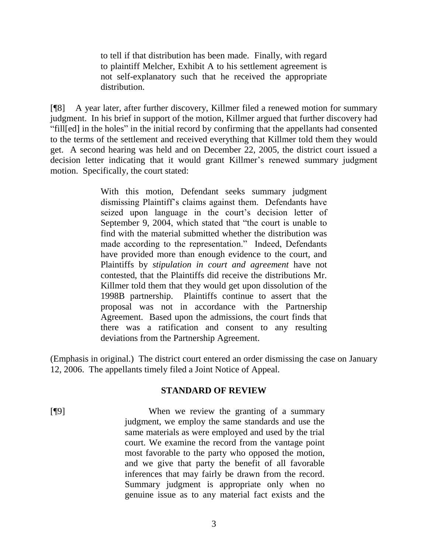to tell if that distribution has been made. Finally, with regard to plaintiff Melcher, Exhibit A to his settlement agreement is not self-explanatory such that he received the appropriate distribution.

[¶8] A year later, after further discovery, Killmer filed a renewed motion for summary judgment. In his brief in support of the motion, Killmer argued that further discovery had "fill[ed] in the holes" in the initial record by confirming that the appellants had consented to the terms of the settlement and received everything that Killmer told them they would get. A second hearing was held and on December 22, 2005, the district court issued a decision letter indicating that it would grant Killmer"s renewed summary judgment motion. Specifically, the court stated:

> With this motion, Defendant seeks summary judgment dismissing Plaintiff"s claims against them. Defendants have seized upon language in the court's decision letter of September 9, 2004, which stated that "the court is unable to find with the material submitted whether the distribution was made according to the representation." Indeed, Defendants have provided more than enough evidence to the court, and Plaintiffs by *stipulation in court and agreement* have not contested, that the Plaintiffs did receive the distributions Mr. Killmer told them that they would get upon dissolution of the 1998B partnership. Plaintiffs continue to assert that the proposal was not in accordance with the Partnership Agreement. Based upon the admissions, the court finds that there was a ratification and consent to any resulting deviations from the Partnership Agreement.

(Emphasis in original.) The district court entered an order dismissing the case on January 12, 2006. The appellants timely filed a Joint Notice of Appeal.

#### **STANDARD OF REVIEW**

[¶9] When we review the granting of a summary judgment, we employ the same standards and use the same materials as were employed and used by the trial court. We examine the record from the vantage point most favorable to the party who opposed the motion, and we give that party the benefit of all favorable inferences that may fairly be drawn from the record. Summary judgment is appropriate only when no genuine issue as to any material fact exists and the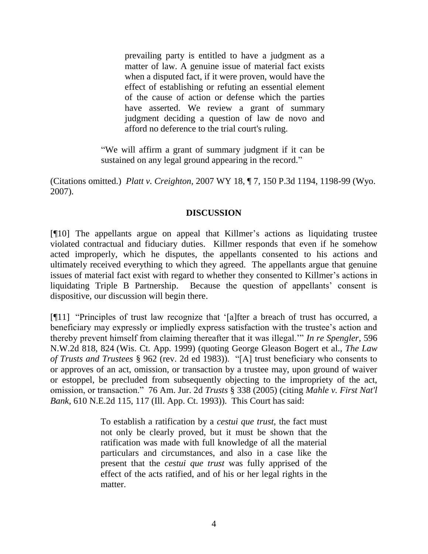prevailing party is entitled to have a judgment as a matter of law. A genuine issue of material fact exists when a disputed fact, if it were proven, would have the effect of establishing or refuting an essential element of the cause of action or defense which the parties have asserted. We review a grant of summary judgment deciding a question of law de novo and afford no deference to the trial court's ruling.

"We will affirm a grant of summary judgment if it can be sustained on any legal ground appearing in the record."

(Citations omitted.) *Platt v. Creighton,* 2007 WY 18, ¶ 7, 150 P.3d 1194, 1198-99 (Wyo. 2007).

## **DISCUSSION**

[¶10] The appellants argue on appeal that Killmer"s actions as liquidating trustee violated contractual and fiduciary duties. Killmer responds that even if he somehow acted improperly, which he disputes, the appellants consented to his actions and ultimately received everything to which they agreed. The appellants argue that genuine issues of material fact exist with regard to whether they consented to Killmer's actions in liquidating Triple B Partnership. Because the question of appellants' consent is dispositive, our discussion will begin there.

[¶11] "Principles of trust law recognize that "[a]fter a breach of trust has occurred, a beneficiary may expressly or impliedly express satisfaction with the trustee's action and thereby prevent himself from claiming thereafter that it was illegal."" *In re Spengler*, 596 N.W.2d 818, 824 (Wis. Ct. App. 1999) (quoting George Gleason Bogert et al., *The Law of Trusts and Trustees* § 962 (rev. 2d ed 1983)). "[A] trust beneficiary who consents to or approves of an act, omission, or transaction by a trustee may, upon ground of waiver or estoppel, be precluded from subsequently objecting to the impropriety of the act, omission, or transaction." 76 Am. Jur. 2d *Trusts* § 338 (2005) (citing *Mahle v. First Nat'l Bank*, 610 N.E.2d 115, 117 (Ill. App. Ct. 1993)). This Court has said:

> To establish a ratification by a *cestui que trust*, the fact must not only be clearly proved, but it must be shown that the ratification was made with full knowledge of all the material particulars and circumstances, and also in a case like the present that the *cestui que trust* was fully apprised of the effect of the acts ratified, and of his or her legal rights in the matter.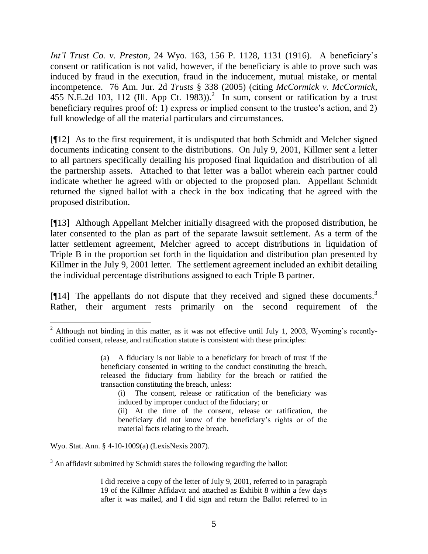*Int'l Trust Co. v. Preston*, 24 Wyo. 163, 156 P. 1128, 1131 (1916). A beneficiary"s consent or ratification is not valid, however, if the beneficiary is able to prove such was induced by fraud in the execution, fraud in the inducement, mutual mistake, or mental incompetence. 76 Am. Jur. 2d *Trusts* § 338 (2005) (citing *McCormick v. McCormick*, 455 N.E.2d 103, 112 (Ill. App Ct. 1983)).<sup>2</sup> In sum, consent or ratification by a trust beneficiary requires proof of: 1) express or implied consent to the trustee's action, and 2) full knowledge of all the material particulars and circumstances.

[¶12] As to the first requirement, it is undisputed that both Schmidt and Melcher signed documents indicating consent to the distributions. On July 9, 2001, Killmer sent a letter to all partners specifically detailing his proposed final liquidation and distribution of all the partnership assets. Attached to that letter was a ballot wherein each partner could indicate whether he agreed with or objected to the proposed plan. Appellant Schmidt returned the signed ballot with a check in the box indicating that he agreed with the proposed distribution.

[¶13] Although Appellant Melcher initially disagreed with the proposed distribution, he later consented to the plan as part of the separate lawsuit settlement. As a term of the latter settlement agreement, Melcher agreed to accept distributions in liquidation of Triple B in the proportion set forth in the liquidation and distribution plan presented by Killmer in the July 9, 2001 letter. The settlement agreement included an exhibit detailing the individual percentage distributions assigned to each Triple B partner.

[ $[14]$ ] The appellants do not dispute that they received and signed these documents.<sup>3</sup> Rather, their argument rests primarily on the second requirement of the

Wyo. Stat. Ann. § 4-10-1009(a) (LexisNexis 2007).

 $\overline{a}$ 

<sup>3</sup> An affidavit submitted by Schmidt states the following regarding the ballot:

I did receive a copy of the letter of July 9, 2001, referred to in paragraph 19 of the Killmer Affidavit and attached as Exhibit 8 within a few days after it was mailed, and I did sign and return the Ballot referred to in

 $2$  Although not binding in this matter, as it was not effective until July 1, 2003, Wyoming's recentlycodified consent, release, and ratification statute is consistent with these principles:

<sup>(</sup>a) A fiduciary is not liable to a beneficiary for breach of trust if the beneficiary consented in writing to the conduct constituting the breach, released the fiduciary from liability for the breach or ratified the transaction constituting the breach, unless:

<sup>(</sup>i) The consent, release or ratification of the beneficiary was induced by improper conduct of the fiduciary; or

<sup>(</sup>ii) At the time of the consent, release or ratification, the beneficiary did not know of the beneficiary"s rights or of the material facts relating to the breach.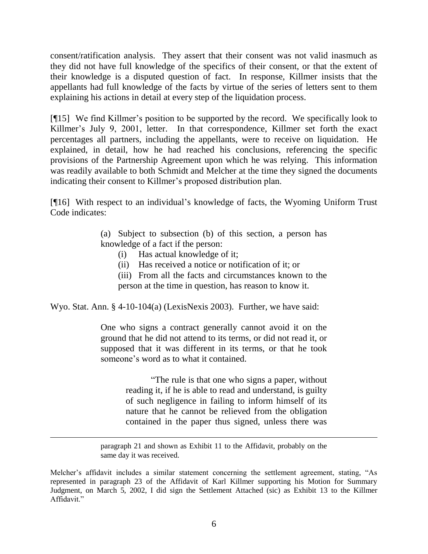consent/ratification analysis. They assert that their consent was not valid inasmuch as they did not have full knowledge of the specifics of their consent, or that the extent of their knowledge is a disputed question of fact. In response, Killmer insists that the appellants had full knowledge of the facts by virtue of the series of letters sent to them explaining his actions in detail at every step of the liquidation process.

[¶15] We find Killmer"s position to be supported by the record. We specifically look to Killmer's July 9, 2001, letter. In that correspondence, Killmer set forth the exact percentages all partners, including the appellants, were to receive on liquidation. He explained, in detail, how he had reached his conclusions, referencing the specific provisions of the Partnership Agreement upon which he was relying. This information was readily available to both Schmidt and Melcher at the time they signed the documents indicating their consent to Killmer's proposed distribution plan.

[¶16] With respect to an individual"s knowledge of facts, the Wyoming Uniform Trust Code indicates:

> (a) Subject to subsection (b) of this section, a person has knowledge of a fact if the person:

- (i) Has actual knowledge of it;
- (ii) Has received a notice or notification of it; or

(iii) From all the facts and circumstances known to the person at the time in question, has reason to know it.

Wyo. Stat. Ann. § 4-10-104(a) (LexisNexis 2003). Further, we have said:

 $\overline{a}$ 

One who signs a contract generally cannot avoid it on the ground that he did not attend to its terms, or did not read it, or supposed that it was different in its terms, or that he took someone's word as to what it contained.

> "The rule is that one who signs a paper, without reading it, if he is able to read and understand, is guilty of such negligence in failing to inform himself of its nature that he cannot be relieved from the obligation contained in the paper thus signed, unless there was

paragraph 21 and shown as Exhibit 11 to the Affidavit, probably on the same day it was received.

Melcher"s affidavit includes a similar statement concerning the settlement agreement, stating, "As represented in paragraph 23 of the Affidavit of Karl Killmer supporting his Motion for Summary Judgment, on March 5, 2002, I did sign the Settlement Attached (sic) as Exhibit 13 to the Killmer Affidavit."